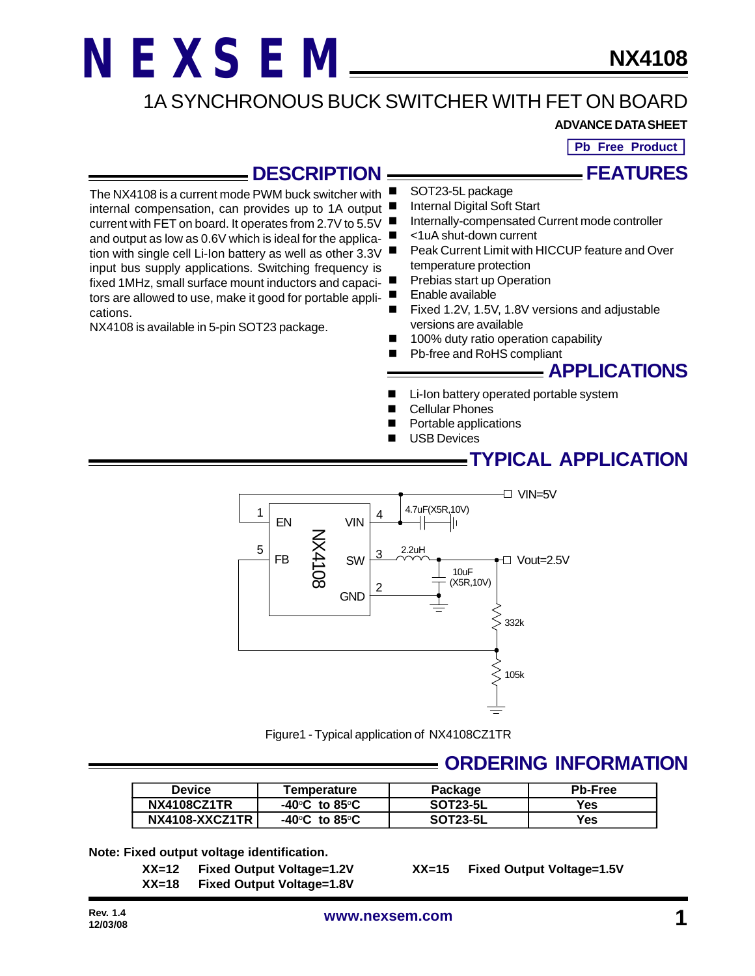### 1A SYNCHRONOUS BUCK SWITCHER WITH FET ON BOARD

#### **ADVANCE DATA SHEET**

**Pb Free Product**

**FEATURES**

#### **DESCRIPTION**

The NX4108 is a current mode PWM buck switcher with internal compensation, can provides up to 1A output current with FET on board. It operates from 2.7V to 5.5V and output as low as 0.6V which is ideal for the application with single cell Li-Ion battery as well as other 3.3V input bus supply applications. Switching frequency is fixed 1MHz, small surface mount inductors and capaci-

tors are allowed to use, make it good for portable applications.

NX4108 is available in 5-pin SOT23 package.

- SOT23-5L package
- Internal Digital Soft Start
- Internally-compensated Current mode controller
- n <1uA shut-down current
- Peak Current Limit with HICCUP feature and Over temperature protection
- Prebias start up Operation
- Enable available
- Fixed 1.2V, 1.5V, 1.8V versions and adjustable versions are available
- 100% duty ratio operation capability
- Pb-free and RoHS compliant

#### **APPLICATIONS**

- Li-Ion battery operated portable system
- **Cellular Phones**
- Portable applications
- **USB Devices**

#### **TYPICAL APPLICATION**



Figure1 - Typical application of NX4108CZ1TR

#### **ORDERING INFORMATION**

| <b>Device</b>      | <b>Temperature</b>                 | Package         | <b>Pb-Free</b> |
|--------------------|------------------------------------|-----------------|----------------|
| <b>NX4108CZ1TR</b> | $-40^{\circ}$ C to 85 $^{\circ}$ C | <b>SOT23-5L</b> | Yes            |
| NX4108-XXCZ1TR     | $-40^{\circ}$ C to 85 $^{\circ}$ C | <b>SOT23-5L</b> | Yes            |

**Note: Fixed output voltage identification.**

**XX=12 Fixed Output Voltage=1.2V XX=15 Fixed Output Voltage=1.5V XX=18 Fixed Output Voltage=1.8V**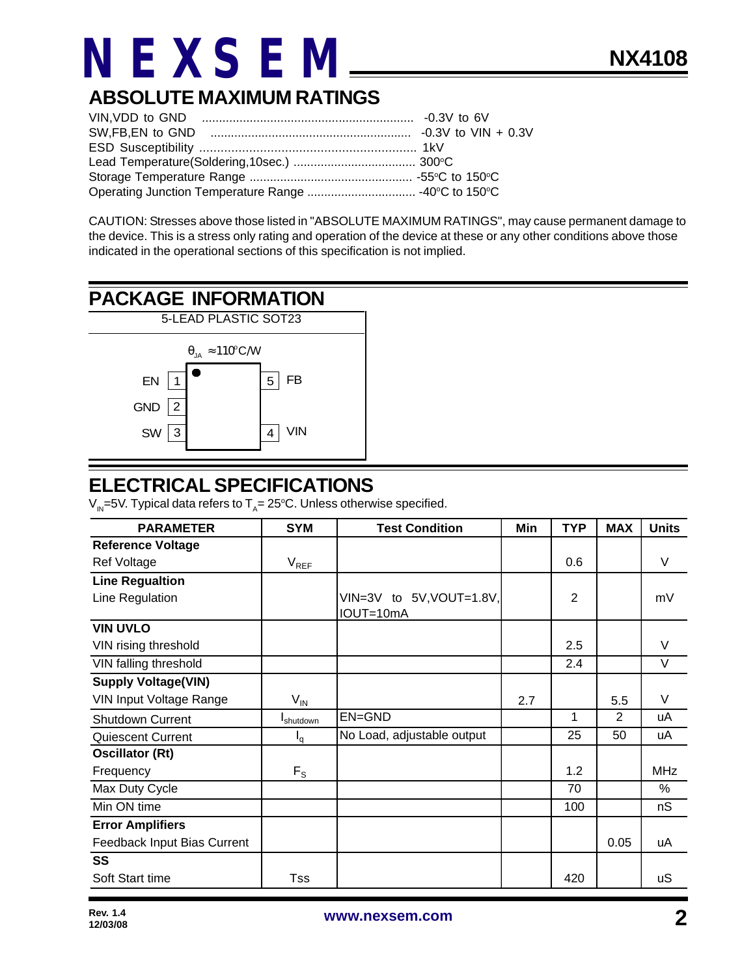### **ABSOLUTE MAXIMUM RATINGS**

CAUTION: Stresses above those listed in "ABSOLUTE MAXIMUM RATINGS", may cause permanent damage to the device. This is a stress only rating and operation of the device at these or any other conditions above those indicated in the operational sections of this specification is not implied.

## **PACKAGE INFORMATION**



#### **ELECTRICAL SPECIFICATIONS**

V<sub>IN</sub>=5V. Typical data refers to T<sub>A</sub>= 25°C. Unless otherwise specified.

| <b>PARAMETER</b>               | <b>SYM</b>        | <b>Test Condition</b>                 | Min | <b>TYP</b>     | <b>MAX</b>     | <b>Units</b> |
|--------------------------------|-------------------|---------------------------------------|-----|----------------|----------------|--------------|
| <b>Reference Voltage</b>       |                   |                                       |     |                |                |              |
| <b>Ref Voltage</b>             | $V_{REF}$         |                                       |     | 0.6            |                | V            |
| <b>Line Regualtion</b>         |                   |                                       |     |                |                |              |
| Line Regulation                |                   | VIN=3V to 5V, VOUT=1.8V,<br>IOUT=10mA |     | $\overline{2}$ |                | mV           |
| <b>VIN UVLO</b>                |                   |                                       |     |                |                |              |
| VIN rising threshold           |                   |                                       |     | 2.5            |                | V            |
| VIN falling threshold          |                   |                                       |     | 2.4            |                | V            |
| <b>Supply Voltage(VIN)</b>     |                   |                                       |     |                |                |              |
| <b>VIN Input Voltage Range</b> | $V_{IN}$          |                                       | 2.7 |                | 5.5            | V            |
| Shutdown Current               | <b>I</b> shutdown | EN=GND                                |     | 1              | $\overline{2}$ | uA           |
| <b>Quiescent Current</b>       | $I_q$             | No Load, adjustable output            |     | 25             | 50             | uA           |
| <b>Oscillator (Rt)</b>         |                   |                                       |     |                |                |              |
| Frequency                      | $F_S$             |                                       |     | 1.2            |                | <b>MHz</b>   |
| Max Duty Cycle                 |                   |                                       |     | 70             |                | %            |
| Min ON time                    |                   |                                       |     | 100            |                | nS           |
| <b>Error Amplifiers</b>        |                   |                                       |     |                |                |              |
| Feedback Input Bias Current    |                   |                                       |     |                | 0.05           | uA           |
| <b>SS</b>                      |                   |                                       |     |                |                |              |
| Soft Start time                | Tss               |                                       |     | 420            |                | <b>uS</b>    |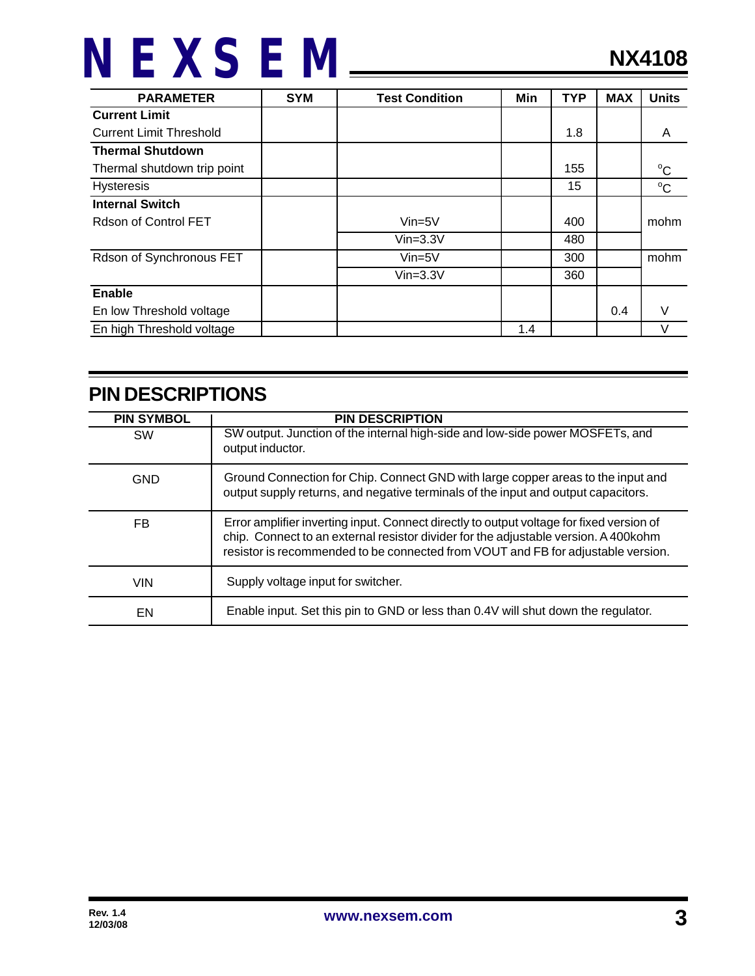| <b>PARAMETER</b>               | <b>SYM</b> | <b>Test Condition</b> | Min | <b>TYP</b> | <b>MAX</b> | <b>Units</b> |
|--------------------------------|------------|-----------------------|-----|------------|------------|--------------|
| <b>Current Limit</b>           |            |                       |     |            |            |              |
| <b>Current Limit Threshold</b> |            |                       |     | 1.8        |            | A            |
| <b>Thermal Shutdown</b>        |            |                       |     |            |            |              |
| Thermal shutdown trip point    |            |                       |     | 155        |            | $^{\circ}C$  |
| <b>Hysteresis</b>              |            |                       |     | 15         |            | $^{\circ}C$  |
| <b>Internal Switch</b>         |            |                       |     |            |            |              |
| Rdson of Control FET           |            | $Vin=5V$              |     | 400        |            | mohm         |
|                                |            | $V$ in= $3.3V$        |     | 480        |            |              |
| Rdson of Synchronous FET       |            | $Vin=5V$              |     | 300        |            | mohm         |
|                                |            | $Vin=3.3V$            |     | 360        |            |              |
| <b>Enable</b>                  |            |                       |     |            |            |              |
| En low Threshold voltage       |            |                       |     |            | 0.4        | V            |
| En high Threshold voltage      |            |                       | 1.4 |            |            | V            |

### **PIN DESCRIPTIONS**

| <b>PIN SYMBOL</b> | <b>PIN DESCRIPTION</b>                                                                                                                                                                                                                                               |
|-------------------|----------------------------------------------------------------------------------------------------------------------------------------------------------------------------------------------------------------------------------------------------------------------|
| <b>SW</b>         | SW output. Junction of the internal high-side and low-side power MOSFETs, and<br>output inductor.                                                                                                                                                                    |
| <b>GND</b>        | Ground Connection for Chip. Connect GND with large copper areas to the input and<br>output supply returns, and negative terminals of the input and output capacitors.                                                                                                |
| FB                | Error amplifier inverting input. Connect directly to output voltage for fixed version of<br>chip. Connect to an external resistor divider for the adjustable version. A 400 kohm<br>resistor is recommended to be connected from VOUT and FB for adjustable version. |
| <b>VIN</b>        | Supply voltage input for switcher.                                                                                                                                                                                                                                   |
| EN                | Enable input. Set this pin to GND or less than 0.4V will shut down the regulator.                                                                                                                                                                                    |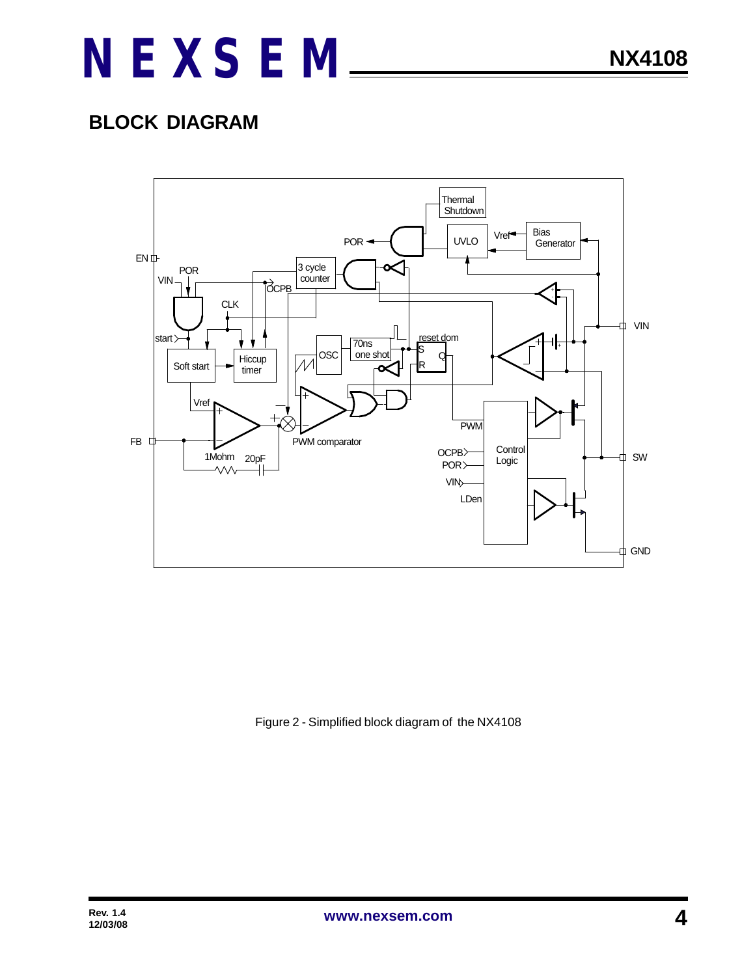### **BLOCK DIAGRAM**



Figure 2 - Simplified block diagram of the NX4108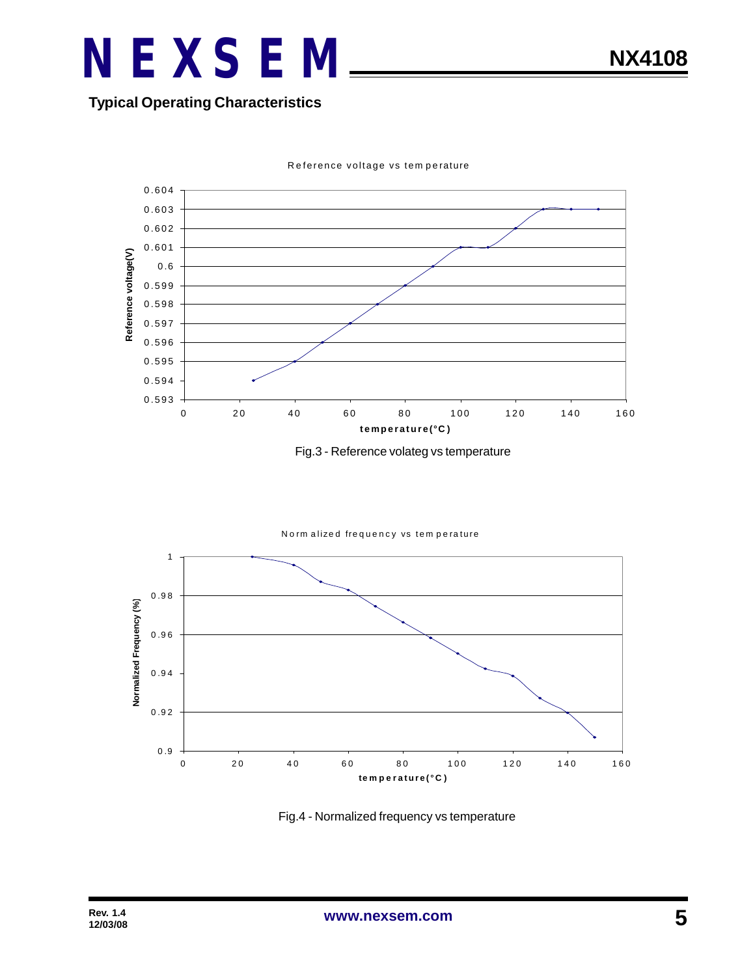#### **Typical Operating Characteristics**



Reference voltage vs tem perature

Fig.3 - Reference volateg vs temperature





Fig.4 - Normalized frequency vs temperature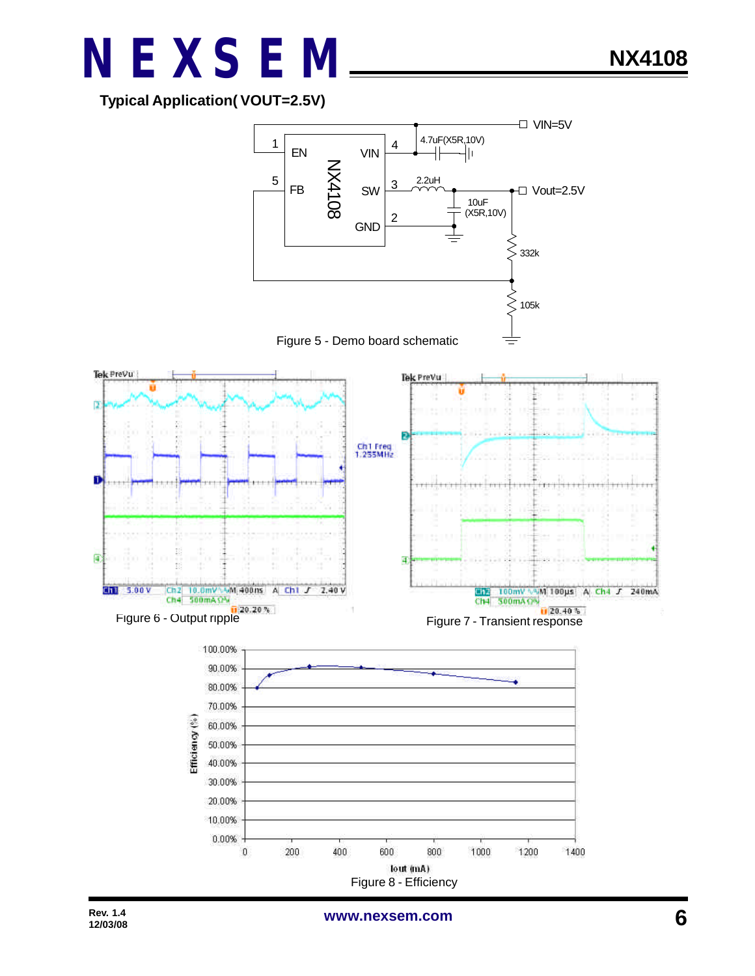**Typical Application( VOUT=2.5V)**



**NX4108**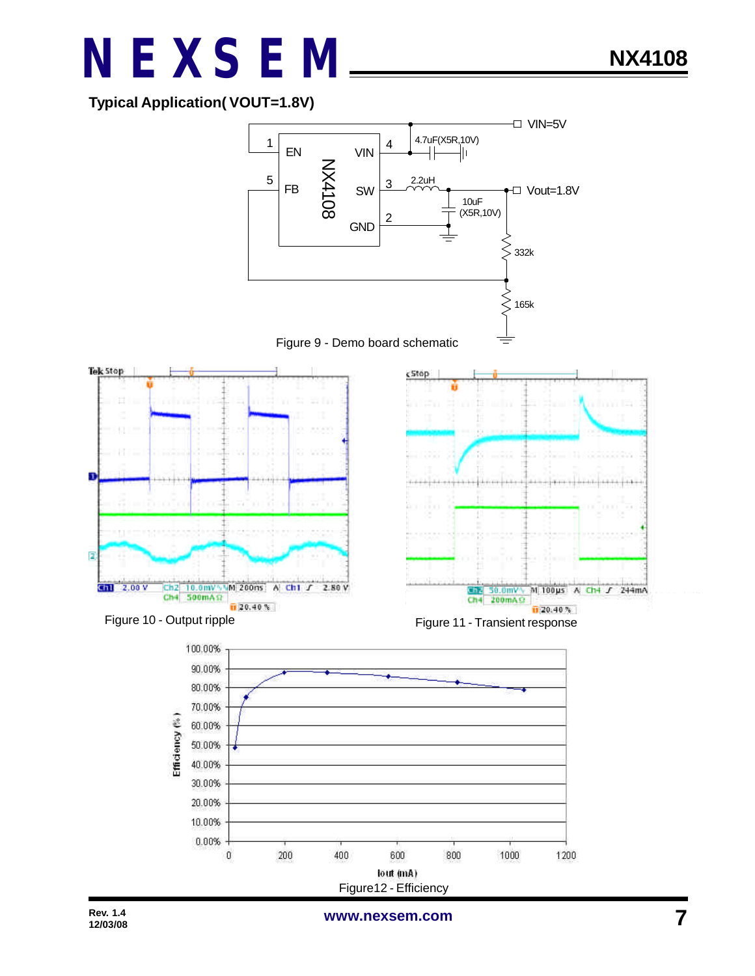#### **Typical Application( VOUT=1.8V)**



**www.nexsem.com**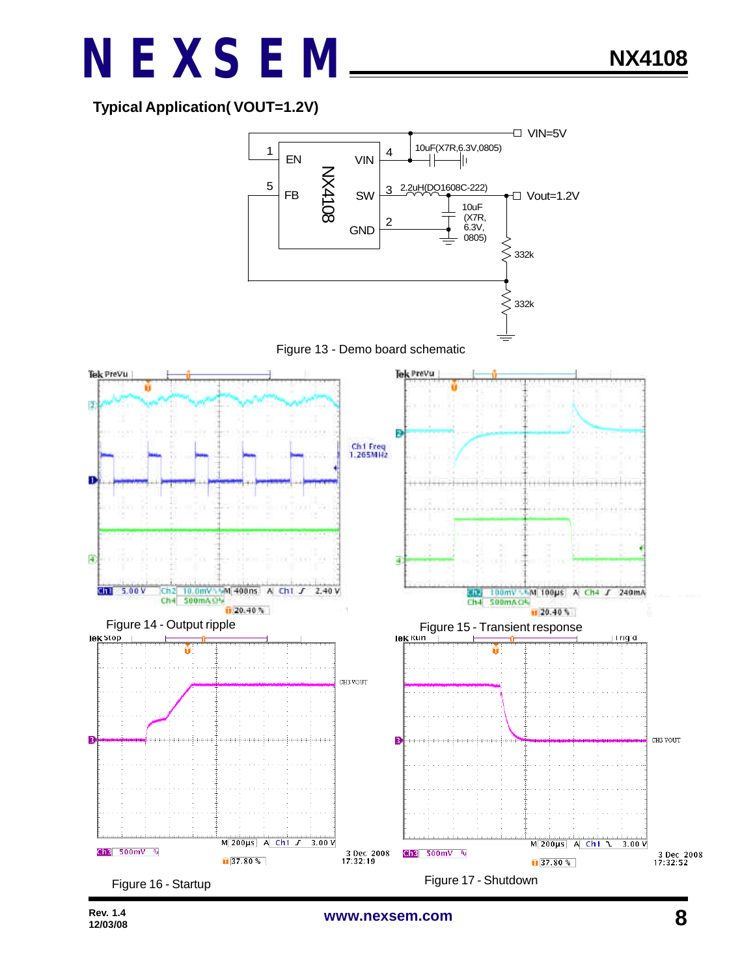

**NX4108**